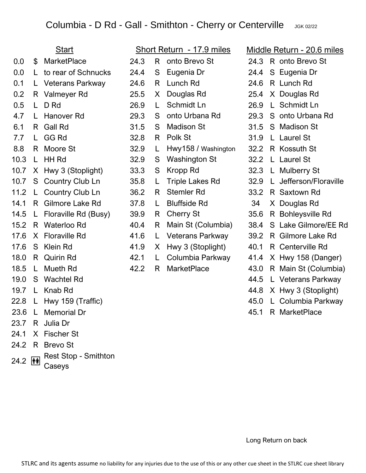## Columbia - D Rd - Gall - Smithton - Cherry or Centerville JGK 02/22

| <b>Start</b> |                                      | <u>Short Return - 17.9 miles</u>      |      |    | <u> Middle Return - 20.6 miles</u> |      |                            |
|--------------|--------------------------------------|---------------------------------------|------|----|------------------------------------|------|----------------------------|
| 0.0          | \$                                   | <b>MarketPlace</b>                    | 24.3 | R. | onto Brevo St                      | 24.3 | R onto Brevo St            |
| 0.0          | L.                                   | to rear of Schnucks                   | 24.4 | S  | Eugenia Dr                         | 24.4 | S Eugenia Dr               |
| 0.1          |                                      | L Veterans Parkway                    | 24.6 | R. | Lunch Rd                           | 24.6 | R Lunch Rd                 |
| 0.2          |                                      | R Valmeyer Rd                         | 25.5 | X. | Douglas Rd                         | 25.4 | X Douglas Rd               |
| 0.5          | L.                                   | D Rd                                  | 26.9 | L. | Schmidt Ln                         | 26.9 | L Schmidt Ln               |
| 4.7          | L.                                   | Hanover Rd                            | 29.3 | S  | onto Urbana Rd                     | 29.3 | S onto Urbana Rd           |
| 6.1          |                                      | R Gall Rd                             | 31.5 | S  | <b>Madison St</b>                  | 31.5 | S Madison St               |
| 7.7          | L.                                   | <b>GG Rd</b>                          | 32.8 | R. | Polk St                            | 31.9 | L Laurel St                |
| 8.8          |                                      | R Moore St                            | 32.9 | L  | Hwy158 / Washington                | 32.2 | R Kossuth St               |
| 10.3         | L.                                   | <b>HH Rd</b>                          | 32.9 | S  | <b>Washington St</b>               | 32.2 | L Laurel St                |
| 10.7         |                                      | X Hwy 3 (Stoplight)                   | 33.3 | S  | Kropp Rd                           | 32.3 | L Mulberry St              |
| 10.7         |                                      | S Country Club Ln                     | 35.8 | L. | <b>Triple Lakes Rd</b>             | 32.9 | Jefferson/Floraville<br>L. |
| 11.2         | $\mathsf{L}$                         | Country Club Ln                       | 36.2 | R. | <b>Stemler Rd</b>                  | 33.2 | R Saxtown Rd               |
| 14.1         | R.                                   | <b>Gilmore Lake Rd</b>                | 37.8 | L. | <b>Bluffside Rd</b>                | 34   | X Douglas Rd               |
| 14.5         | L.                                   | Floraville Rd (Busy)                  | 39.9 | R. | <b>Cherry St</b>                   | 35.6 | R Bohleysville Rd          |
| 15.2         |                                      | R Waterloo Rd                         | 40.4 | R. | Main St (Columbia)                 | 38.4 | S Lake Gilmore/EE Rd       |
| 17.6         | X.                                   | <b>Floraville Rd</b>                  | 41.6 | L. | <b>Veterans Parkway</b>            | 39.2 | R Gilmore Lake Rd          |
| 17.6         | S                                    | Klein Rd                              | 41.9 | X. | Hwy 3 (Stoplight)                  | 40.1 | R Centerville Rd           |
| 18.0         | R                                    | <b>Quirin Rd</b>                      | 42.1 | L. | Columbia Parkway                   | 41.4 | X Hwy 158 (Danger)         |
| 18.5         | L.                                   | <b>Mueth Rd</b>                       | 42.2 | R  | <b>MarketPlace</b>                 | 43.0 | R Main St (Columbia)       |
| 19.0         | S                                    | <b>Wachtel Rd</b>                     |      |    |                                    | 44.5 | L Veterans Parkway         |
| 19.7         | L.                                   | Knab Rd                               |      |    |                                    | 44.8 | X Hwy 3 (Stoplight)        |
| 22.8         | L                                    | Hwy 159 (Traffic)                     |      |    |                                    | 45.0 | L Columbia Parkway         |
|              |                                      | 23.6 L Memorial Dr                    |      |    |                                    |      | 45.1 R MarketPlace         |
|              |                                      | 23.7 R Julia Dr                       |      |    |                                    |      |                            |
| 24.1         |                                      | X Fischer St                          |      |    |                                    |      |                            |
| 24.2         |                                      | R Brevo St                            |      |    |                                    |      |                            |
| 24.2         | $ \hat{\mathbf{r}}\hat{\mathbf{r}} $ | <b>Rest Stop - Smithton</b><br>Caseys |      |    |                                    |      |                            |

Long Return on back